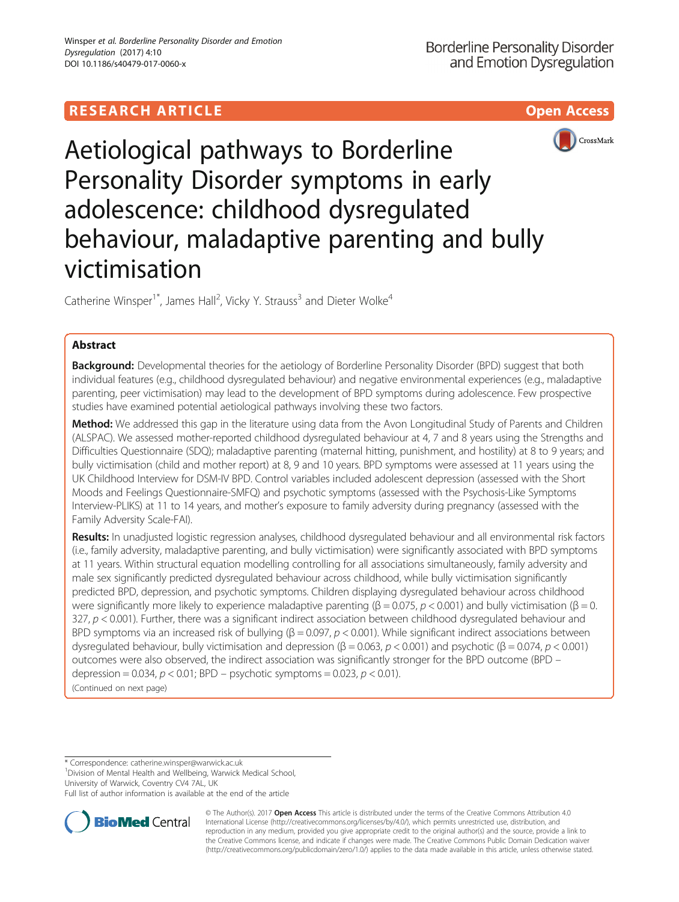# **RESEARCH ARTICLE Example 2018 12:30 THE OPEN ACCESS**



# Aetiological pathways to Borderline Personality Disorder symptoms in early adolescence: childhood dysregulated behaviour, maladaptive parenting and bully victimisation

Catherine Winsper<sup>1\*</sup>, James Hall<sup>2</sup>, Vicky Y. Strauss<sup>3</sup> and Dieter Wolke<sup>4</sup>

# Abstract

Background: Developmental theories for the aetiology of Borderline Personality Disorder (BPD) suggest that both individual features (e.g., childhood dysregulated behaviour) and negative environmental experiences (e.g., maladaptive parenting, peer victimisation) may lead to the development of BPD symptoms during adolescence. Few prospective studies have examined potential aetiological pathways involving these two factors.

Method: We addressed this gap in the literature using data from the Avon Longitudinal Study of Parents and Children (ALSPAC). We assessed mother-reported childhood dysregulated behaviour at 4, 7 and 8 years using the Strengths and Difficulties Questionnaire (SDQ); maladaptive parenting (maternal hitting, punishment, and hostility) at 8 to 9 years; and bully victimisation (child and mother report) at 8, 9 and 10 years. BPD symptoms were assessed at 11 years using the UK Childhood Interview for DSM-IV BPD. Control variables included adolescent depression (assessed with the Short Moods and Feelings Questionnaire-SMFQ) and psychotic symptoms (assessed with the Psychosis-Like Symptoms Interview-PLIKS) at 11 to 14 years, and mother's exposure to family adversity during pregnancy (assessed with the Family Adversity Scale-FAI).

Results: In unadjusted logistic regression analyses, childhood dysregulated behaviour and all environmental risk factors (i.e., family adversity, maladaptive parenting, and bully victimisation) were significantly associated with BPD symptoms at 11 years. Within structural equation modelling controlling for all associations simultaneously, family adversity and male sex significantly predicted dysregulated behaviour across childhood, while bully victimisation significantly predicted BPD, depression, and psychotic symptoms. Children displaying dysregulated behaviour across childhood were significantly more likely to experience maladaptive parenting (β = 0.075,  $p$  < 0.001) and bully victimisation (β = 0.  $327, p < 0.001$ ). Further, there was a significant indirect association between childhood dysregulated behaviour and BPD symptoms via an increased risk of bullying ( $β = 0.097$ ,  $p < 0.001$ ). While significant indirect associations between dysregulated behaviour, bully victimisation and depression (β = 0.063,  $p$  < 0.001) and psychotic (β = 0.074,  $p$  < 0.001) outcomes were also observed, the indirect association was significantly stronger for the BPD outcome (BPD – depression = 0.034,  $p < 0.01$ ; BPD – psychotic symptoms = 0.023,  $p < 0.01$ ). (Continued on next page)

\* Correspondence: [catherine.winsper@warwick.ac.uk](mailto:catherine.winsper@warwick.ac.uk) <sup>1</sup>

<sup>1</sup> Division of Mental Health and Wellbeing, Warwick Medical School, University of Warwick, Coventry CV4 7AL, UK

Full list of author information is available at the end of the article



© The Author(s). 2017 **Open Access** This article is distributed under the terms of the Creative Commons Attribution 4.0 International License [\(http://creativecommons.org/licenses/by/4.0/](http://creativecommons.org/licenses/by/4.0/)), which permits unrestricted use, distribution, and reproduction in any medium, provided you give appropriate credit to the original author(s) and the source, provide a link to the Creative Commons license, and indicate if changes were made. The Creative Commons Public Domain Dedication waiver [\(http://creativecommons.org/publicdomain/zero/1.0/](http://creativecommons.org/publicdomain/zero/1.0/)) applies to the data made available in this article, unless otherwise stated.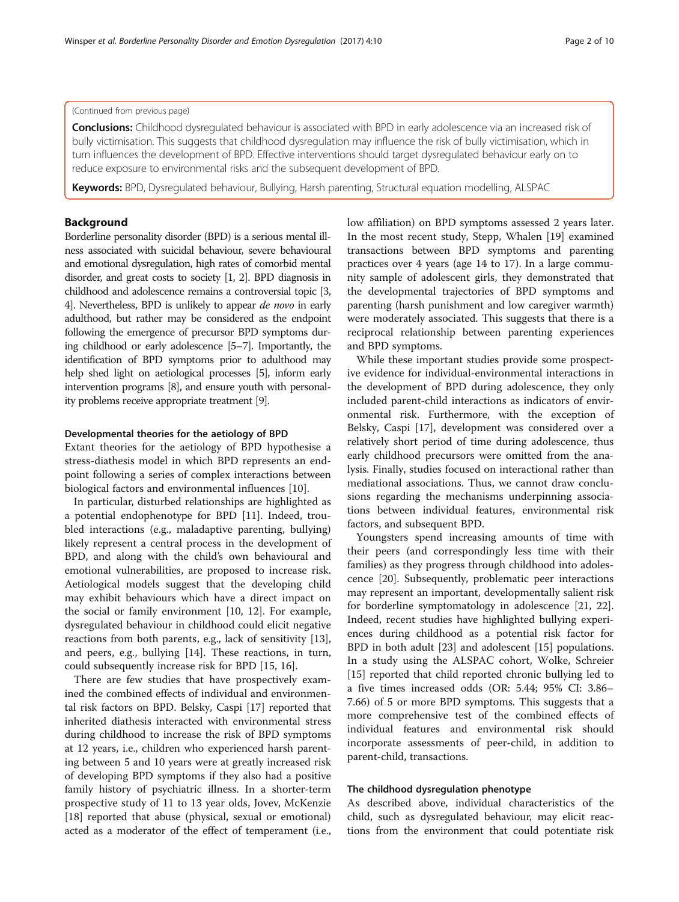#### (Continued from previous page)

Conclusions: Childhood dysregulated behaviour is associated with BPD in early adolescence via an increased risk of bully victimisation. This suggests that childhood dysregulation may influence the risk of bully victimisation, which in turn influences the development of BPD. Effective interventions should target dysregulated behaviour early on to reduce exposure to environmental risks and the subsequent development of BPD.

Keywords: BPD, Dysregulated behaviour, Bullying, Harsh parenting, Structural equation modelling, ALSPAC

## Background

Borderline personality disorder (BPD) is a serious mental illness associated with suicidal behaviour, severe behavioural and emotional dysregulation, high rates of comorbid mental disorder, and great costs to society [[1](#page-8-0), [2](#page-8-0)]. BPD diagnosis in childhood and adolescence remains a controversial topic [[3](#page-8-0), [4](#page-8-0)]. Nevertheless, BPD is unlikely to appear de novo in early adulthood, but rather may be considered as the endpoint following the emergence of precursor BPD symptoms during childhood or early adolescence [[5](#page-8-0)–[7\]](#page-8-0). Importantly, the identification of BPD symptoms prior to adulthood may help shed light on aetiological processes [\[5\]](#page-8-0), inform early intervention programs [\[8\]](#page-8-0), and ensure youth with personality problems receive appropriate treatment [\[9\]](#page-8-0).

#### Developmental theories for the aetiology of BPD

Extant theories for the aetiology of BPD hypothesise a stress-diathesis model in which BPD represents an endpoint following a series of complex interactions between biological factors and environmental influences [\[10](#page-8-0)].

In particular, disturbed relationships are highlighted as a potential endophenotype for BPD [[11](#page-8-0)]. Indeed, troubled interactions (e.g., maladaptive parenting, bullying) likely represent a central process in the development of BPD, and along with the child's own behavioural and emotional vulnerabilities, are proposed to increase risk. Aetiological models suggest that the developing child may exhibit behaviours which have a direct impact on the social or family environment [\[10](#page-8-0), [12](#page-8-0)]. For example, dysregulated behaviour in childhood could elicit negative reactions from both parents, e.g., lack of sensitivity [\[13](#page-8-0)], and peers, e.g., bullying [\[14](#page-8-0)]. These reactions, in turn, could subsequently increase risk for BPD [\[15, 16\]](#page-8-0).

There are few studies that have prospectively examined the combined effects of individual and environmental risk factors on BPD. Belsky, Caspi [\[17](#page-8-0)] reported that inherited diathesis interacted with environmental stress during childhood to increase the risk of BPD symptoms at 12 years, i.e., children who experienced harsh parenting between 5 and 10 years were at greatly increased risk of developing BPD symptoms if they also had a positive family history of psychiatric illness. In a shorter-term prospective study of 11 to 13 year olds, Jovev, McKenzie [[18\]](#page-8-0) reported that abuse (physical, sexual or emotional) acted as a moderator of the effect of temperament (i.e., low affiliation) on BPD symptoms assessed 2 years later. In the most recent study, Stepp, Whalen [[19](#page-8-0)] examined transactions between BPD symptoms and parenting practices over 4 years (age 14 to 17). In a large community sample of adolescent girls, they demonstrated that the developmental trajectories of BPD symptoms and parenting (harsh punishment and low caregiver warmth) were moderately associated. This suggests that there is a reciprocal relationship between parenting experiences and BPD symptoms.

While these important studies provide some prospective evidence for individual-environmental interactions in the development of BPD during adolescence, they only included parent-child interactions as indicators of environmental risk. Furthermore, with the exception of Belsky, Caspi [\[17](#page-8-0)], development was considered over a relatively short period of time during adolescence, thus early childhood precursors were omitted from the analysis. Finally, studies focused on interactional rather than mediational associations. Thus, we cannot draw conclusions regarding the mechanisms underpinning associations between individual features, environmental risk factors, and subsequent BPD.

Youngsters spend increasing amounts of time with their peers (and correspondingly less time with their families) as they progress through childhood into adolescence [\[20](#page-8-0)]. Subsequently, problematic peer interactions may represent an important, developmentally salient risk for borderline symptomatology in adolescence [\[21, 22](#page-8-0)]. Indeed, recent studies have highlighted bullying experiences during childhood as a potential risk factor for BPD in both adult [[23](#page-8-0)] and adolescent [\[15\]](#page-8-0) populations. In a study using the ALSPAC cohort, Wolke, Schreier [[15\]](#page-8-0) reported that child reported chronic bullying led to a five times increased odds (OR: 5.44; 95% CI: 3.86– 7.66) of 5 or more BPD symptoms. This suggests that a more comprehensive test of the combined effects of individual features and environmental risk should incorporate assessments of peer-child, in addition to parent-child, transactions.

### The childhood dysregulation phenotype

As described above, individual characteristics of the child, such as dysregulated behaviour, may elicit reactions from the environment that could potentiate risk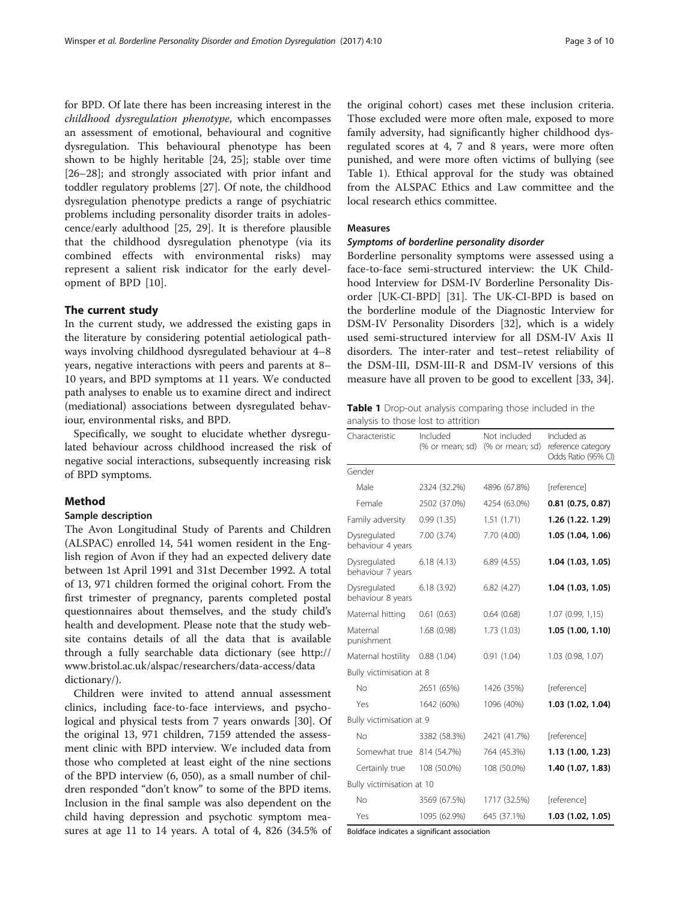for BPD. Of late there has been increasing interest in the childhood dysregulation phenotype, which encompasses an assessment of emotional, behavioural and cognitive dysregulation. This behavioural phenotype has been shown to be highly heritable [[24](#page-8-0), [25\]](#page-8-0); stable over time [[26](#page-8-0)–[28](#page-8-0)]; and strongly associated with prior infant and toddler regulatory problems [\[27\]](#page-8-0). Of note, the childhood dysregulation phenotype predicts a range of psychiatric problems including personality disorder traits in adolescence/early adulthood [\[25, 29](#page-8-0)]. It is therefore plausible that the childhood dysregulation phenotype (via its combined effects with environmental risks) may represent a salient risk indicator for the early development of BPD [[10\]](#page-8-0).

### The current study

In the current study, we addressed the existing gaps in the literature by considering potential aetiological pathways involving childhood dysregulated behaviour at 4–8 years, negative interactions with peers and parents at 8– 10 years, and BPD symptoms at 11 years. We conducted path analyses to enable us to examine direct and indirect (mediational) associations between dysregulated behaviour, environmental risks, and BPD.

Specifically, we sought to elucidate whether dysregulated behaviour across childhood increased the risk of negative social interactions, subsequently increasing risk of BPD symptoms.

#### Method

#### Sample description

The Avon Longitudinal Study of Parents and Children (ALSPAC) enrolled 14, 541 women resident in the English region of Avon if they had an expected delivery date between 1st April 1991 and 31st December 1992. A total of 13, 971 children formed the original cohort. From the first trimester of pregnancy, parents completed postal questionnaires about themselves, and the study child's health and development. Please note that the study website contains details of all the data that is available through a fully searchable data dictionary (see [http://](http://www.bristol.ac.uk/alspac/researchers/data-access/data) [www.bristol.ac.uk/alspac/researchers/data-access/data](http://www.bristol.ac.uk/alspac/researchers/data-access/data) dictionary/).

Children were invited to attend annual assessment clinics, including face-to-face interviews, and psychological and physical tests from 7 years onwards [\[30](#page-8-0)]. Of the original 13, 971 children, 7159 attended the assessment clinic with BPD interview. We included data from those who completed at least eight of the nine sections of the BPD interview (6, 050), as a small number of children responded "don't know" to some of the BPD items. Inclusion in the final sample was also dependent on the child having depression and psychotic symptom measures at age 11 to 14 years. A total of 4, 826 (34.5% of

the original cohort) cases met these inclusion criteria. Those excluded were more often male, exposed to more family adversity, had significantly higher childhood dysregulated scores at 4, 7 and 8 years, were more often punished, and were more often victims of bullying (see Table 1). Ethical approval for the study was obtained from the ALSPAC Ethics and Law committee and the local research ethics committee.

## Measures

## Symptoms of borderline personality disorder

Borderline personality symptoms were assessed using a face-to-face semi-structured interview: the UK Childhood Interview for DSM-IV Borderline Personality Disorder [UK-CI-BPD] [[31\]](#page-8-0). The UK-CI-BPD is based on the borderline module of the Diagnostic Interview for DSM-IV Personality Disorders [\[32\]](#page-8-0), which is a widely used semi-structured interview for all DSM-IV Axis II disorders. The inter-rater and test–retest reliability of the DSM-III, DSM-III-R and DSM-IV versions of this measure have all proven to be good to excellent [\[33](#page-8-0), [34](#page-8-0)].

Table 1 Drop-out analysis comparing those included in the analysis to those lost to attrition

| Characteristic                    | Included<br>(% or mean; sd) | Not included<br>(% or mean; sd) | Included as<br>reference category<br>Odds Ratio (95% CI) |  |
|-----------------------------------|-----------------------------|---------------------------------|----------------------------------------------------------|--|
| Gender                            |                             |                                 |                                                          |  |
| Male                              | 2324 (32.2%)                | 4896 (67.8%)                    | [reference]                                              |  |
| Female                            | 2502 (37.0%)                | 4254 (63.0%)                    | $0.81$ (0.75, 0.87)                                      |  |
| Family adversity                  | 0.99(1.35)                  | 1.51(1.71)                      | 1.26 (1.22. 1.29)                                        |  |
| Dysregulated<br>behaviour 4 years | 7.00 (3.74)                 | 7.70 (4.00)                     | 1.05 (1.04, 1.06)                                        |  |
| Dysregulated<br>behaviour 7 years | 6.18(4.13)                  | 6.89(4.55)                      | 1.04(1.03, 1.05)                                         |  |
| Dysregulated<br>behaviour 8 years | 6.18(3.92)                  | 6.82(4.27)                      | 1.04 (1.03, 1.05)                                        |  |
| Maternal hitting                  | 0.61(0.63)                  | 0.64(0.68)                      | 1.07(0.99, 1.15)                                         |  |
| Maternal<br>punishment            | 1.68 (0.98)                 | 1.73(1.03)                      | 1.05 (1.00, 1.10)                                        |  |
| Maternal hostility                | 0.88(1.04)                  | 0.91(1.04)                      | 1.03 (0.98, 1.07)                                        |  |
| Bully victimisation at 8          |                             |                                 |                                                          |  |
| No                                | 2651 (65%)                  | 1426 (35%)                      | [reference]                                              |  |
| Yes                               | 1642 (60%)                  | 1096 (40%)                      | 1.03 (1.02, 1.04)                                        |  |
| Bully victimisation at 9          |                             |                                 |                                                          |  |
| No                                | 3382 (58.3%)                | 2421 (41.7%)                    | [reference]                                              |  |
| Somewhat true                     | 814 (54.7%)                 | 764 (45.3%)                     | 1.13 (1.00, 1.23)                                        |  |
| Certainly true                    | 108 (50.0%)                 | 108 (50.0%)                     | 1.40 (1.07, 1.83)                                        |  |
| Bully victimisation at 10         |                             |                                 |                                                          |  |
| No                                | 3569 (67.5%)                | 1717 (32.5%)                    | [reference]                                              |  |
| Yes                               | 1095 (62.9%)                | 645 (37.1%)                     | 1.03 (1.02, 1.05)                                        |  |

Boldface indicates a significant association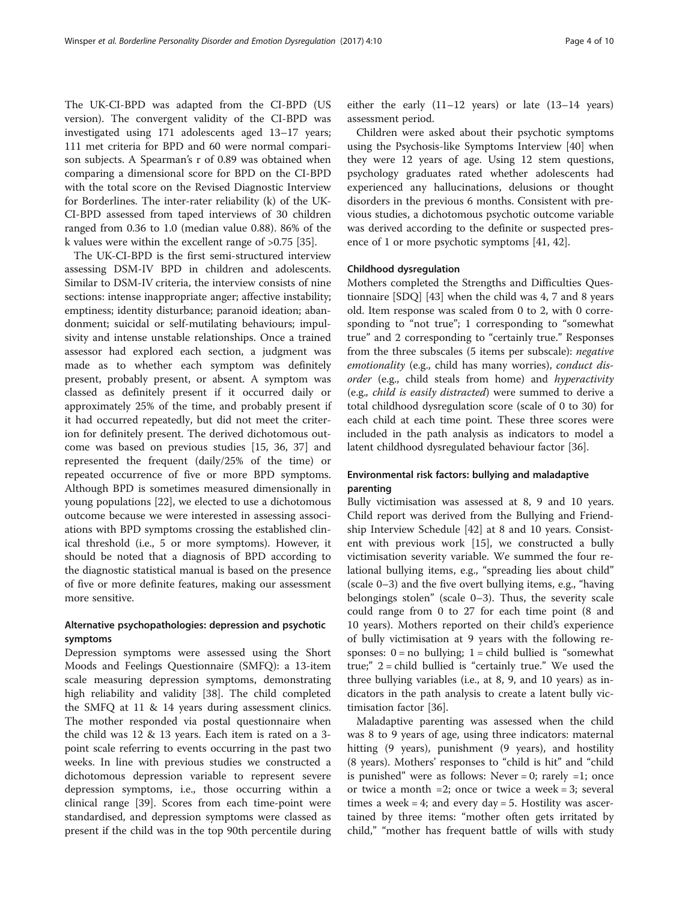The UK-CI-BPD was adapted from the CI-BPD (US version). The convergent validity of the CI-BPD was investigated using 171 adolescents aged 13–17 years; 111 met criteria for BPD and 60 were normal comparison subjects. A Spearman's r of 0.89 was obtained when comparing a dimensional score for BPD on the CI-BPD with the total score on the Revised Diagnostic Interview for Borderlines. The inter-rater reliability (k) of the UK-CI-BPD assessed from taped interviews of 30 children ranged from 0.36 to 1.0 (median value 0.88). 86% of the k values were within the excellent range of >0.75 [\[35\]](#page-8-0).

The UK-CI-BPD is the first semi-structured interview assessing DSM-IV BPD in children and adolescents. Similar to DSM-IV criteria, the interview consists of nine sections: intense inappropriate anger; affective instability; emptiness; identity disturbance; paranoid ideation; abandonment; suicidal or self-mutilating behaviours; impulsivity and intense unstable relationships. Once a trained assessor had explored each section, a judgment was made as to whether each symptom was definitely present, probably present, or absent. A symptom was classed as definitely present if it occurred daily or approximately 25% of the time, and probably present if it had occurred repeatedly, but did not meet the criterion for definitely present. The derived dichotomous outcome was based on previous studies [[15](#page-8-0), [36](#page-9-0), [37](#page-9-0)] and represented the frequent (daily/25% of the time) or repeated occurrence of five or more BPD symptoms. Although BPD is sometimes measured dimensionally in young populations [[22](#page-8-0)], we elected to use a dichotomous outcome because we were interested in assessing associations with BPD symptoms crossing the established clinical threshold (i.e., 5 or more symptoms). However, it should be noted that a diagnosis of BPD according to the diagnostic statistical manual is based on the presence of five or more definite features, making our assessment more sensitive.

# Alternative psychopathologies: depression and psychotic symptoms

Depression symptoms were assessed using the Short Moods and Feelings Questionnaire (SMFQ): a 13-item scale measuring depression symptoms, demonstrating high reliability and validity [[38\]](#page-9-0). The child completed the SMFQ at 11 & 14 years during assessment clinics. The mother responded via postal questionnaire when the child was 12 & 13 years. Each item is rated on a 3 point scale referring to events occurring in the past two weeks. In line with previous studies we constructed a dichotomous depression variable to represent severe depression symptoms, i.e., those occurring within a clinical range [[39\]](#page-9-0). Scores from each time-point were standardised, and depression symptoms were classed as present if the child was in the top 90th percentile during

either the early (11–12 years) or late (13–14 years) assessment period.

Children were asked about their psychotic symptoms using the Psychosis-like Symptoms Interview [[40\]](#page-9-0) when they were 12 years of age. Using 12 stem questions, psychology graduates rated whether adolescents had experienced any hallucinations, delusions or thought disorders in the previous 6 months. Consistent with previous studies, a dichotomous psychotic outcome variable was derived according to the definite or suspected presence of 1 or more psychotic symptoms [\[41](#page-9-0), [42](#page-9-0)].

#### Childhood dysregulation

Mothers completed the Strengths and Difficulties Questionnaire [SDQ] [[43](#page-9-0)] when the child was 4, 7 and 8 years old. Item response was scaled from 0 to 2, with 0 corresponding to "not true"; 1 corresponding to "somewhat true" and 2 corresponding to "certainly true." Responses from the three subscales (5 items per subscale): negative emotionality (e.g., child has many worries), conduct disorder (e.g., child steals from home) and hyperactivity (e.g., child is easily distracted) were summed to derive a total childhood dysregulation score (scale of 0 to 30) for each child at each time point. These three scores were included in the path analysis as indicators to model a latent childhood dysregulated behaviour factor [[36](#page-9-0)].

# Environmental risk factors: bullying and maladaptive parenting

Bully victimisation was assessed at 8, 9 and 10 years. Child report was derived from the Bullying and Friendship Interview Schedule [[42](#page-9-0)] at 8 and 10 years. Consistent with previous work [[15\]](#page-8-0), we constructed a bully victimisation severity variable. We summed the four relational bullying items, e.g., "spreading lies about child" (scale 0–3) and the five overt bullying items, e.g., "having belongings stolen" (scale 0–3). Thus, the severity scale could range from 0 to 27 for each time point (8 and 10 years). Mothers reported on their child's experience of bully victimisation at 9 years with the following responses:  $0 = no$  bullying;  $1 = child$  bullied is "somewhat true;"  $2 = \text{child}$  bullied is "certainly true." We used the three bullying variables (i.e., at 8, 9, and 10 years) as indicators in the path analysis to create a latent bully victimisation factor [\[36](#page-9-0)].

Maladaptive parenting was assessed when the child was 8 to 9 years of age, using three indicators: maternal hitting (9 years), punishment (9 years), and hostility (8 years). Mothers' responses to "child is hit" and "child is punished" were as follows: Never = 0; rarely =1; once or twice a month =2; once or twice a week = 3; several times a week  $= 4$ ; and every day  $= 5$ . Hostility was ascertained by three items: "mother often gets irritated by child," "mother has frequent battle of wills with study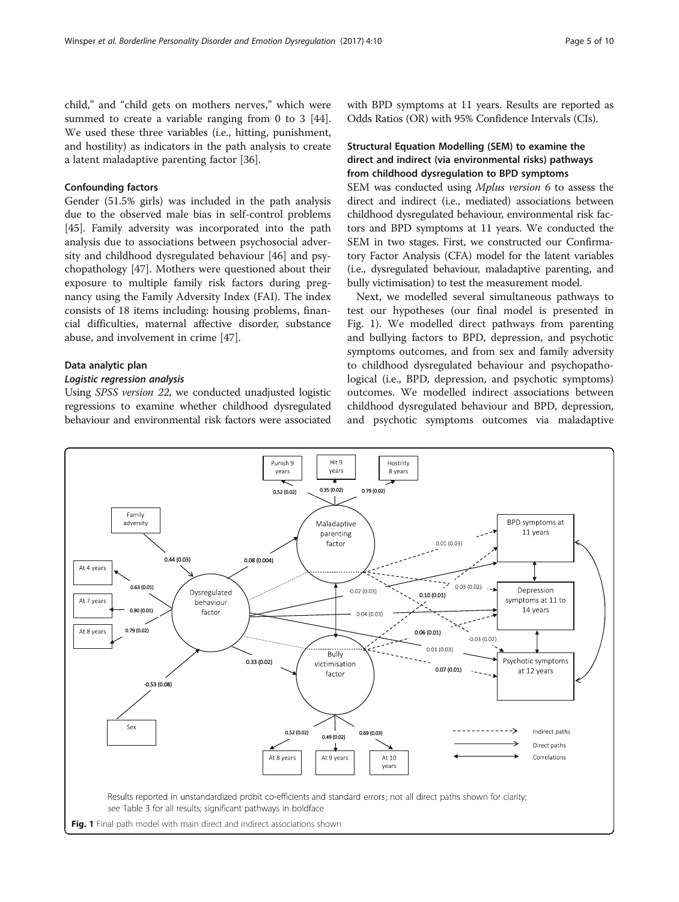<span id="page-4-0"></span>child," and "child gets on mothers nerves," which were summed to create a variable ranging from 0 to 3 [\[44](#page-9-0)]. We used these three variables (i.e., hitting, punishment, and hostility) as indicators in the path analysis to create a latent maladaptive parenting factor [[36\]](#page-9-0).

## Confounding factors

Gender (51.5% girls) was included in the path analysis due to the observed male bias in self-control problems [[45\]](#page-9-0). Family adversity was incorporated into the path analysis due to associations between psychosocial adversity and childhood dysregulated behaviour [[46](#page-9-0)] and psychopathology [\[47\]](#page-9-0). Mothers were questioned about their exposure to multiple family risk factors during pregnancy using the Family Adversity Index (FAI). The index consists of 18 items including: housing problems, financial difficulties, maternal affective disorder, substance abuse, and involvement in crime [\[47\]](#page-9-0).

#### Data analytic plan

#### Logistic regression analysis

Using SPSS version 22, we conducted unadjusted logistic regressions to examine whether childhood dysregulated behaviour and environmental risk factors were associated with BPD symptoms at 11 years. Results are reported as Odds Ratios (OR) with 95% Confidence Intervals (CIs).

# Structural Equation Modelling (SEM) to examine the direct and indirect (via environmental risks) pathways from childhood dysregulation to BPD symptoms

SEM was conducted using Mplus version 6 to assess the direct and indirect (i.e., mediated) associations between childhood dysregulated behaviour, environmental risk factors and BPD symptoms at 11 years. We conducted the SEM in two stages. First, we constructed our Confirmatory Factor Analysis (CFA) model for the latent variables (i.e., dysregulated behaviour, maladaptive parenting, and bully victimisation) to test the measurement model.

Next, we modelled several simultaneous pathways to test our hypotheses (our final model is presented in Fig. 1). We modelled direct pathways from parenting and bullying factors to BPD, depression, and psychotic symptoms outcomes, and from sex and family adversity to childhood dysregulated behaviour and psychopathological (i.e., BPD, depression, and psychotic symptoms) outcomes. We modelled indirect associations between childhood dysregulated behaviour and BPD, depression, and psychotic symptoms outcomes via maladaptive

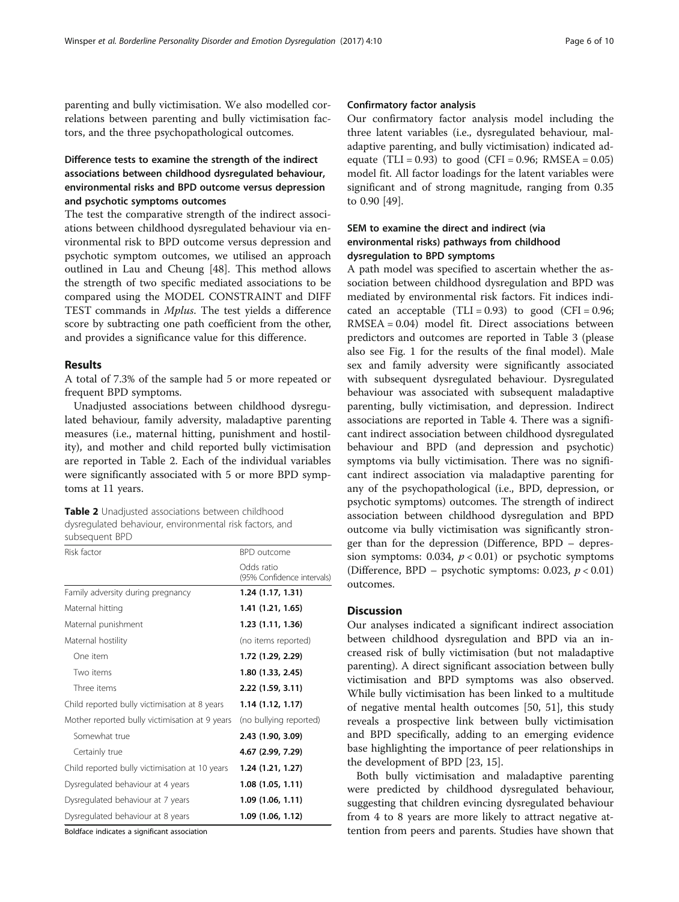parenting and bully victimisation. We also modelled correlations between parenting and bully victimisation factors, and the three psychopathological outcomes.

# Difference tests to examine the strength of the indirect associations between childhood dysregulated behaviour, environmental risks and BPD outcome versus depression and psychotic symptoms outcomes

The test the comparative strength of the indirect associations between childhood dysregulated behaviour via environmental risk to BPD outcome versus depression and psychotic symptom outcomes, we utilised an approach outlined in Lau and Cheung [[48\]](#page-9-0). This method allows the strength of two specific mediated associations to be compared using the MODEL CONSTRAINT and DIFF TEST commands in Mplus. The test yields a difference score by subtracting one path coefficient from the other, and provides a significance value for this difference.

### Results

A total of 7.3% of the sample had 5 or more repeated or frequent BPD symptoms.

Unadjusted associations between childhood dysregulated behaviour, family adversity, maladaptive parenting measures (i.e., maternal hitting, punishment and hostility), and mother and child reported bully victimisation are reported in Table 2. Each of the individual variables were significantly associated with 5 or more BPD symptoms at 11 years.

| <b>Table 2</b> Unadjusted associations between childhood |
|----------------------------------------------------------|
| dysregulated behaviour, environmental risk factors, and  |
| subsequent BPD                                           |

| Risk factor                                    | BPD outcome                              |
|------------------------------------------------|------------------------------------------|
|                                                | Odds ratio<br>(95% Confidence intervals) |
| Family adversity during pregnancy              | 1.24 (1.17, 1.31)                        |
| Maternal hitting                               | 1.41 (1.21, 1.65)                        |
| Maternal punishment                            | 1.23 (1.11, 1.36)                        |
| Maternal hostility                             | (no items reported)                      |
| One item                                       | 1.72 (1.29, 2.29)                        |
| Two items                                      | 1.80(1.33, 2.45)                         |
| Three items                                    | 2.22 (1.59, 3.11)                        |
| Child reported bully victimisation at 8 years  | 1.14(1.12, 1.17)                         |
| Mother reported bully victimisation at 9 years | (no bullying reported)                   |
| Somewhat true                                  | 2.43 (1.90, 3.09)                        |
| Certainly true                                 | 4.67 (2.99, 7.29)                        |
| Child reported bully victimisation at 10 years | 1.24 (1.21, 1.27)                        |
| Dysregulated behaviour at 4 years              | 1.08 (1.05, 1.11)                        |
| Dysregulated behaviour at 7 years              | 1.09 (1.06, 1.11)                        |
| Dysregulated behaviour at 8 years              | 1.09 (1.06, 1.12)                        |

Boldface indicates a significant association

## Confirmatory factor analysis

Our confirmatory factor analysis model including the three latent variables (i.e., dysregulated behaviour, maladaptive parenting, and bully victimisation) indicated adequate  $(TLI = 0.93)$  to good  $(CFI = 0.96; RMSEA = 0.05)$ model fit. All factor loadings for the latent variables were significant and of strong magnitude, ranging from 0.35 to 0.90 [[49\]](#page-9-0).

# SEM to examine the direct and indirect (via environmental risks) pathways from childhood dysregulation to BPD symptoms

A path model was specified to ascertain whether the association between childhood dysregulation and BPD was mediated by environmental risk factors. Fit indices indicated an acceptable  $(TLI = 0.93)$  to good  $(CFI = 0.96;$ RMSEA = 0.04) model fit. Direct associations between predictors and outcomes are reported in Table [3](#page-6-0) (please also see Fig. [1](#page-4-0) for the results of the final model). Male sex and family adversity were significantly associated with subsequent dysregulated behaviour. Dysregulated behaviour was associated with subsequent maladaptive parenting, bully victimisation, and depression. Indirect associations are reported in Table [4.](#page-6-0) There was a significant indirect association between childhood dysregulated behaviour and BPD (and depression and psychotic) symptoms via bully victimisation. There was no significant indirect association via maladaptive parenting for any of the psychopathological (i.e., BPD, depression, or psychotic symptoms) outcomes. The strength of indirect association between childhood dysregulation and BPD outcome via bully victimisation was significantly stronger than for the depression (Difference, BPD – depression symptoms: 0.034,  $p < 0.01$ ) or psychotic symptoms (Difference, BPD – psychotic symptoms: 0.023,  $p < 0.01$ ) outcomes.

#### **Discussion**

Our analyses indicated a significant indirect association between childhood dysregulation and BPD via an increased risk of bully victimisation (but not maladaptive parenting). A direct significant association between bully victimisation and BPD symptoms was also observed. While bully victimisation has been linked to a multitude of negative mental health outcomes [[50](#page-9-0), [51](#page-9-0)], this study reveals a prospective link between bully victimisation and BPD specifically, adding to an emerging evidence base highlighting the importance of peer relationships in the development of BPD [[23, 15](#page-8-0)].

Both bully victimisation and maladaptive parenting were predicted by childhood dysregulated behaviour, suggesting that children evincing dysregulated behaviour from 4 to 8 years are more likely to attract negative attention from peers and parents. Studies have shown that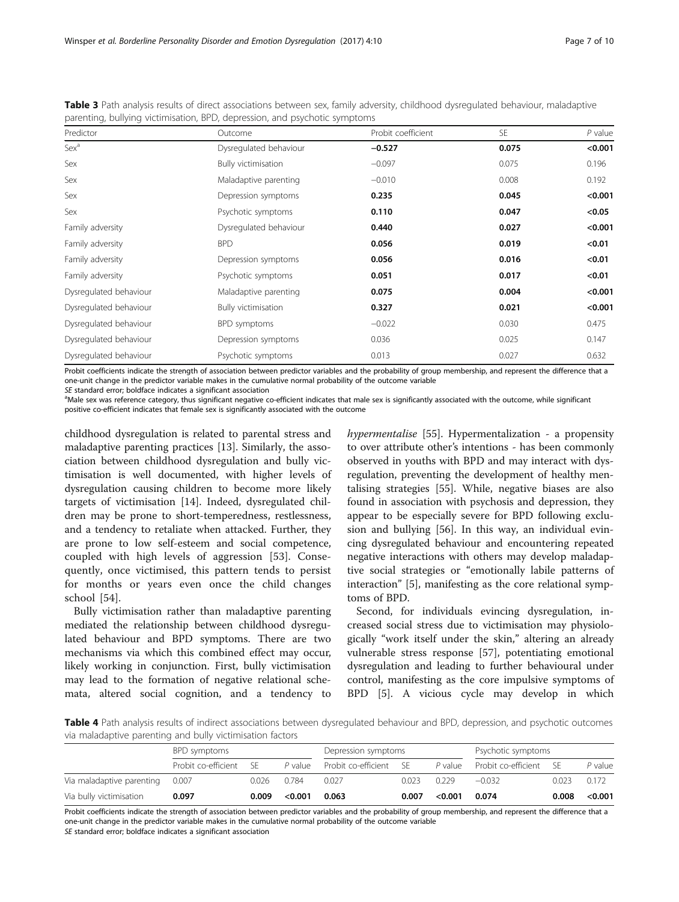| Predictor              | Outcome                    | Probit coefficient | SE    | $P$ value<br>< 0.001 |  |
|------------------------|----------------------------|--------------------|-------|----------------------|--|
| Sex <sup>a</sup>       | Dysregulated behaviour     | $-0.527$           | 0.075 |                      |  |
| Sex                    | <b>Bully victimisation</b> | $-0.097$           | 0.075 | 0.196                |  |
| Sex                    | Maladaptive parenting      | $-0.010$           | 0.008 | 0.192                |  |
| Sex                    | Depression symptoms        | 0.235              | 0.045 | < 0.001              |  |
| Sex                    | Psychotic symptoms         | 0.110              | 0.047 | < 0.05               |  |
| Family adversity       | Dysregulated behaviour     | 0.440              | 0.027 | < 0.001              |  |
| Family adversity       | <b>BPD</b>                 | 0.056              | 0.019 | < 0.01               |  |
| Family adversity       | Depression symptoms        | 0.056              | 0.016 | < 0.01               |  |
| Family adversity       | Psychotic symptoms         | 0.051              | 0.017 | < 0.01               |  |
| Dysregulated behaviour | Maladaptive parenting      | 0.075              | 0.004 | < 0.001              |  |
| Dysregulated behaviour | <b>Bully victimisation</b> | 0.327              | 0.021 | < 0.001              |  |
| Dysregulated behaviour | <b>BPD</b> symptoms        | $-0.022$           | 0.030 | 0.475                |  |
| Dysregulated behaviour | Depression symptoms        | 0.036              | 0.025 | 0.147                |  |
| Dysregulated behaviour | Psychotic symptoms         | 0.013              | 0.027 | 0.632                |  |

<span id="page-6-0"></span>Table 3 Path analysis results of direct associations between sex, family adversity, childhood dysregulated behaviour, maladaptive parenting, bullying victimisation, BPD, depression, and psychotic symptoms

Probit coefficients indicate the strength of association between predictor variables and the probability of group membership, and represent the difference that a one-unit change in the predictor variable makes in the cumulative normal probability of the outcome variable

SE standard error; boldface indicates a significant association

<sup>a</sup>Male sex was reference category, thus significant negative co-efficient indicates that male sex is significantly associated with the outcome, while significant positive co-efficient indicates that female sex is significantly associated with the outcome

childhood dysregulation is related to parental stress and maladaptive parenting practices [[13\]](#page-8-0). Similarly, the association between childhood dysregulation and bully victimisation is well documented, with higher levels of dysregulation causing children to become more likely targets of victimisation [[14\]](#page-8-0). Indeed, dysregulated children may be prone to short-temperedness, restlessness, and a tendency to retaliate when attacked. Further, they are prone to low self-esteem and social competence, coupled with high levels of aggression [[53\]](#page-9-0). Consequently, once victimised, this pattern tends to persist for months or years even once the child changes school [[54\]](#page-9-0).

Bully victimisation rather than maladaptive parenting mediated the relationship between childhood dysregulated behaviour and BPD symptoms. There are two mechanisms via which this combined effect may occur, likely working in conjunction. First, bully victimisation may lead to the formation of negative relational schemata, altered social cognition, and a tendency to hypermentalise [[55\]](#page-9-0). Hypermentalization - a propensity to over attribute other's intentions - has been commonly observed in youths with BPD and may interact with dysregulation, preventing the development of healthy mentalising strategies [\[55](#page-9-0)]. While, negative biases are also found in association with psychosis and depression, they appear to be especially severe for BPD following exclusion and bullying [\[56](#page-9-0)]. In this way, an individual evincing dysregulated behaviour and encountering repeated negative interactions with others may develop maladaptive social strategies or "emotionally labile patterns of interaction" [\[5\]](#page-8-0), manifesting as the core relational symptoms of BPD.

Second, for individuals evincing dysregulation, increased social stress due to victimisation may physiologically "work itself under the skin," altering an already vulnerable stress response [\[57](#page-9-0)], potentiating emotional dysregulation and leading to further behavioural under control, manifesting as the core impulsive symptoms of BPD [[5\]](#page-8-0). A vicious cycle may develop in which

Table 4 Path analysis results of indirect associations between dysregulated behaviour and BPD, depression, and psychotic outcomes via maladaptive parenting and bully victimisation factors

|                           | BPD symptoms        |       |         | Depression symptoms |       | Psychotic symptoms |                     |       |         |
|---------------------------|---------------------|-------|---------|---------------------|-------|--------------------|---------------------|-------|---------|
|                           | Probit co-efficient | - SE  | P value | Probit co-efficient | - SE  | $P$ value          | Probit co-efficient | - SF  | P value |
| Via maladaptive parenting | 0.007               | 0.026 | 0.784   | 0.027               | 0.023 | 0.229              | $-0.032$            | 0.023 | 0.172   |
| Via bully victimisation   | 0.097               | 0.009 | < 0.001 | 0.063               | 0.007 | < 0.001            | 0.074               | 0.008 | < 0.001 |

Probit coefficients indicate the strength of association between predictor variables and the probability of group membership, and represent the difference that a one-unit change in the predictor variable makes in the cumulative normal probability of the outcome variable

SE standard error; boldface indicates a significant association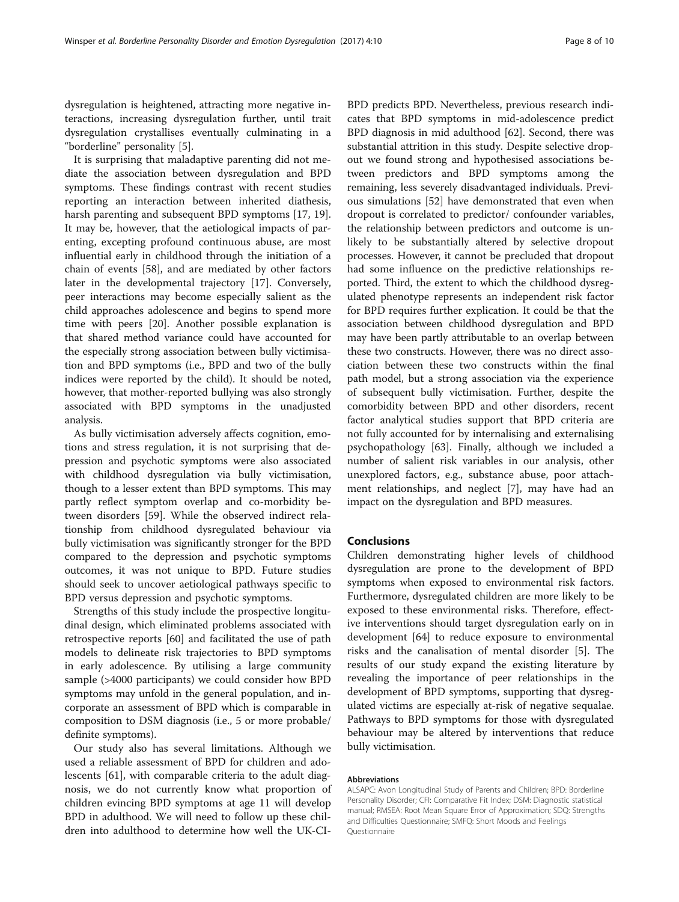dysregulation is heightened, attracting more negative interactions, increasing dysregulation further, until trait dysregulation crystallises eventually culminating in a "borderline" personality [[5\]](#page-8-0).

It is surprising that maladaptive parenting did not mediate the association between dysregulation and BPD symptoms. These findings contrast with recent studies reporting an interaction between inherited diathesis, harsh parenting and subsequent BPD symptoms [\[17](#page-8-0), [19](#page-8-0)]. It may be, however, that the aetiological impacts of parenting, excepting profound continuous abuse, are most influential early in childhood through the initiation of a chain of events [[58\]](#page-9-0), and are mediated by other factors later in the developmental trajectory [\[17](#page-8-0)]. Conversely, peer interactions may become especially salient as the child approaches adolescence and begins to spend more time with peers [[20](#page-8-0)]. Another possible explanation is that shared method variance could have accounted for the especially strong association between bully victimisation and BPD symptoms (i.e., BPD and two of the bully indices were reported by the child). It should be noted, however, that mother-reported bullying was also strongly associated with BPD symptoms in the unadjusted analysis.

As bully victimisation adversely affects cognition, emotions and stress regulation, it is not surprising that depression and psychotic symptoms were also associated with childhood dysregulation via bully victimisation, though to a lesser extent than BPD symptoms. This may partly reflect symptom overlap and co-morbidity between disorders [[59\]](#page-9-0). While the observed indirect relationship from childhood dysregulated behaviour via bully victimisation was significantly stronger for the BPD compared to the depression and psychotic symptoms outcomes, it was not unique to BPD. Future studies should seek to uncover aetiological pathways specific to BPD versus depression and psychotic symptoms.

Strengths of this study include the prospective longitudinal design, which eliminated problems associated with retrospective reports [[60\]](#page-9-0) and facilitated the use of path models to delineate risk trajectories to BPD symptoms in early adolescence. By utilising a large community sample (>4000 participants) we could consider how BPD symptoms may unfold in the general population, and incorporate an assessment of BPD which is comparable in composition to DSM diagnosis (i.e., 5 or more probable/ definite symptoms).

Our study also has several limitations. Although we used a reliable assessment of BPD for children and adolescents [\[61](#page-9-0)], with comparable criteria to the adult diagnosis, we do not currently know what proportion of children evincing BPD symptoms at age 11 will develop BPD in adulthood. We will need to follow up these children into adulthood to determine how well the UK-CI-

BPD predicts BPD. Nevertheless, previous research indicates that BPD symptoms in mid-adolescence predict BPD diagnosis in mid adulthood [[62\]](#page-9-0). Second, there was substantial attrition in this study. Despite selective dropout we found strong and hypothesised associations between predictors and BPD symptoms among the remaining, less severely disadvantaged individuals. Previous simulations [\[52\]](#page-9-0) have demonstrated that even when dropout is correlated to predictor/ confounder variables, the relationship between predictors and outcome is unlikely to be substantially altered by selective dropout processes. However, it cannot be precluded that dropout had some influence on the predictive relationships reported. Third, the extent to which the childhood dysregulated phenotype represents an independent risk factor for BPD requires further explication. It could be that the association between childhood dysregulation and BPD may have been partly attributable to an overlap between these two constructs. However, there was no direct association between these two constructs within the final path model, but a strong association via the experience of subsequent bully victimisation. Further, despite the comorbidity between BPD and other disorders, recent factor analytical studies support that BPD criteria are not fully accounted for by internalising and externalising psychopathology [\[63](#page-9-0)]. Finally, although we included a number of salient risk variables in our analysis, other unexplored factors, e.g., substance abuse, poor attachment relationships, and neglect [[7\]](#page-8-0), may have had an impact on the dysregulation and BPD measures.

#### Conclusions

Children demonstrating higher levels of childhood dysregulation are prone to the development of BPD symptoms when exposed to environmental risk factors. Furthermore, dysregulated children are more likely to be exposed to these environmental risks. Therefore, effective interventions should target dysregulation early on in development [[64\]](#page-9-0) to reduce exposure to environmental risks and the canalisation of mental disorder [\[5](#page-8-0)]. The results of our study expand the existing literature by revealing the importance of peer relationships in the development of BPD symptoms, supporting that dysregulated victims are especially at-risk of negative sequalae. Pathways to BPD symptoms for those with dysregulated behaviour may be altered by interventions that reduce bully victimisation.

#### Abbreviations

ALSAPC: Avon Longitudinal Study of Parents and Children; BPD: Borderline Personality Disorder; CFI: Comparative Fit Index; DSM: Diagnostic statistical manual; RMSEA: Root Mean Square Error of Approximation; SDQ: Strengths and Difficulties Questionnaire; SMFQ: Short Moods and Feelings Questionnaire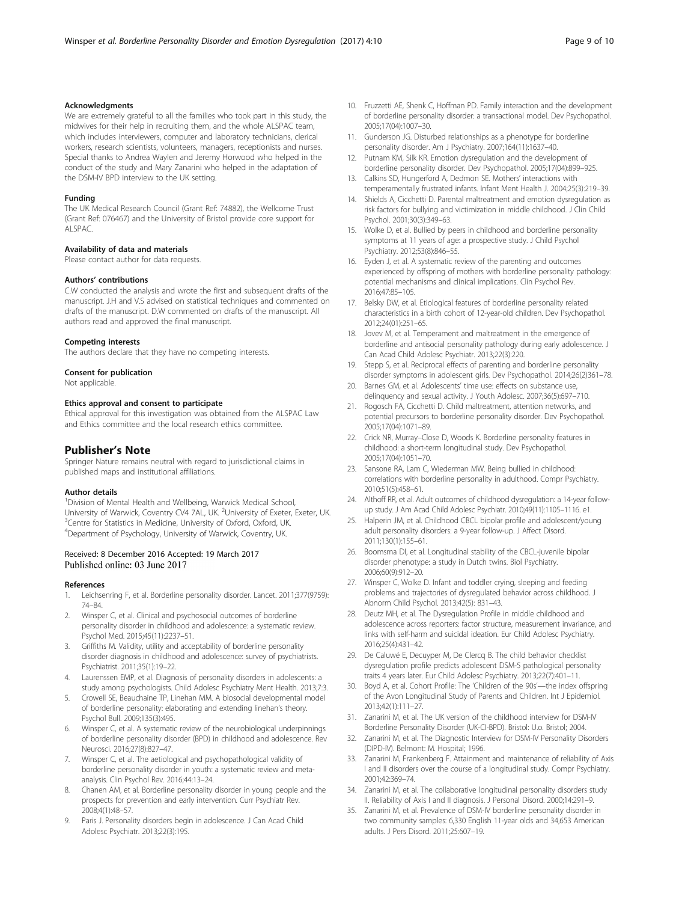#### <span id="page-8-0"></span>Acknowledgments

We are extremely grateful to all the families who took part in this study, the midwives for their help in recruiting them, and the whole ALSPAC team, which includes interviewers, computer and laboratory technicians, clerical workers, research scientists, volunteers, managers, receptionists and nurses. Special thanks to Andrea Waylen and Jeremy Horwood who helped in the conduct of the study and Mary Zanarini who helped in the adaptation of the DSM-IV BPD interview to the UK setting.

#### Funding

The UK Medical Research Council (Grant Ref: 74882), the Wellcome Trust (Grant Ref: 076467) and the University of Bristol provide core support for ALSPAC.

#### Availability of data and materials

Please contact author for data requests.

#### Authors' contributions

C.W conducted the analysis and wrote the first and subsequent drafts of the manuscript. J.H and V.S advised on statistical techniques and commented on drafts of the manuscript. D.W commented on drafts of the manuscript. All authors read and approved the final manuscript.

#### Competing interests

The authors declare that they have no competing interests.

#### Consent for publication

Not applicable.

#### Ethics approval and consent to participate

Ethical approval for this investigation was obtained from the ALSPAC Law and Ethics committee and the local research ethics committee.

#### Publisher's Note

Springer Nature remains neutral with regard to jurisdictional claims in published maps and institutional affiliations.

#### Author details

<sup>1</sup> Division of Mental Health and Wellbeing, Warwick Medical School, University of Warwick, Coventry CV4 7AL, UK. <sup>2</sup>University of Exeter, Exeter, UK.<br><sup>3</sup>Contro for Statistics in Modicina University of Oxford, Oxford UK. <sup>3</sup> Centre for Statistics in Medicine, University of Oxford, Oxford, UK. 4 Department of Psychology, University of Warwick, Coventry, UK.

#### Received: 8 December 2016 Accepted: 19 March 2017 Published online: 03 June 2017

#### References

- 1. Leichsenring F, et al. Borderline personality disorder. Lancet. 2011;377(9759): 74–84.
- 2. Winsper C, et al. Clinical and psychosocial outcomes of borderline personality disorder in childhood and adolescence: a systematic review. Psychol Med. 2015;45(11):2237–51.
- 3. Griffiths M. Validity, utility and acceptability of borderline personality disorder diagnosis in childhood and adolescence: survey of psychiatrists. Psychiatrist. 2011;35(1):19–22.
- 4. Laurenssen EMP, et al. Diagnosis of personality disorders in adolescents: a study among psychologists. Child Adolesc Psychiatry Ment Health. 2013;7:3.
- 5. Crowell SE, Beauchaine TP, Linehan MM. A biosocial developmental model of borderline personality: elaborating and extending linehan's theory. Psychol Bull. 2009;135(3):495.
- 6. Winsper C, et al. A systematic review of the neurobiological underpinnings of borderline personality disorder (BPD) in childhood and adolescence. Rev Neurosci. 2016;27(8):827–47.
- 7. Winsper C, et al. The aetiological and psychopathological validity of borderline personality disorder in youth: a systematic review and metaanalysis. Clin Psychol Rev. 2016;44:13–24.
- Chanen AM, et al. Borderline personality disorder in young people and the prospects for prevention and early intervention. Curr Psychiatr Rev. 2008;4(1):48–57.
- 9. Paris J. Personality disorders begin in adolescence. J Can Acad Child Adolesc Psychiatr. 2013;22(3):195.
- 10. Fruzzetti AE, Shenk C, Hoffman PD. Family interaction and the development of borderline personality disorder: a transactional model. Dev Psychopathol. 2005;17(04):1007–30.
- 11. Gunderson JG. Disturbed relationships as a phenotype for borderline personality disorder. Am J Psychiatry. 2007;164(11):1637–40.
- 12. Putnam KM, Silk KR. Emotion dysregulation and the development of borderline personality disorder. Dev Psychopathol. 2005;17(04):899–925.
- 13. Calkins SD, Hungerford A, Dedmon SE. Mothers' interactions with temperamentally frustrated infants. Infant Ment Health J. 2004;25(3):219–39.
- 14. Shields A, Cicchetti D. Parental maltreatment and emotion dysregulation as risk factors for bullying and victimization in middle childhood. J Clin Child Psychol. 2001;30(3):349–63.
- 15. Wolke D, et al. Bullied by peers in childhood and borderline personality symptoms at 11 years of age: a prospective study. J Child Psychol Psychiatry. 2012;53(8):846–55.
- 16. Eyden J, et al. A systematic review of the parenting and outcomes experienced by offspring of mothers with borderline personality pathology: potential mechanisms and clinical implications. Clin Psychol Rev. 2016;47:85–105.
- 17. Belsky DW, et al. Etiological features of borderline personality related characteristics in a birth cohort of 12-year-old children. Dev Psychopathol. 2012;24(01):251–65.
- 18. Jovev M, et al. Temperament and maltreatment in the emergence of borderline and antisocial personality pathology during early adolescence. J Can Acad Child Adolesc Psychiatr. 2013;22(3):220.
- 19. Stepp S, et al. Reciprocal effects of parenting and borderline personality disorder symptoms in adolescent girls. Dev Psychopathol. 2014;26(2)361–78.
- 20. Barnes GM, et al. Adolescents' time use: effects on substance use, delinquency and sexual activity. J Youth Adolesc. 2007;36(5):697–710.
- 21. Rogosch FA, Cicchetti D. Child maltreatment, attention networks, and potential precursors to borderline personality disorder. Dev Psychopathol. 2005;17(04):1071–89.
- 22. Crick NR, Murray–Close D, Woods K. Borderline personality features in childhood: a short-term longitudinal study. Dev Psychopathol. 2005;17(04):1051–70.
- 23. Sansone RA, Lam C, Wiederman MW. Being bullied in childhood: correlations with borderline personality in adulthood. Compr Psychiatry. 2010;51(5):458–61.
- 24. Althoff RR, et al. Adult outcomes of childhood dysregulation: a 14-year followup study. J Am Acad Child Adolesc Psychiatr. 2010;49(11):1105–1116. e1.
- 25. Halperin JM, et al. Childhood CBCL bipolar profile and adolescent/young adult personality disorders: a 9-year follow-up. J Affect Disord. 2011;130(1):155–61.
- 26. Boomsma DI, et al. Longitudinal stability of the CBCL-juvenile bipolar disorder phenotype: a study in Dutch twins. Biol Psychiatry. 2006;60(9):912–20.
- 27. Winsper C, Wolke D. Infant and toddler crying, sleeping and feeding problems and trajectories of dysregulated behavior across childhood. J Abnorm Child Psychol. 2013;42(5): 831–43.
- 28. Deutz MH, et al. The Dysregulation Profile in middle childhood and adolescence across reporters: factor structure, measurement invariance, and links with self-harm and suicidal ideation. Eur Child Adolesc Psychiatry. 2016;25(4):431–42.
- 29. De Caluwé E, Decuyper M, De Clercq B. The child behavior checklist dysregulation profile predicts adolescent DSM-5 pathological personality traits 4 years later. Eur Child Adolesc Psychiatry. 2013;22(7):401–11.
- 30. Boyd A, et al. Cohort Profile: The 'Children of the 90s'—the index offspring of the Avon Longitudinal Study of Parents and Children. Int J Epidemiol. 2013;42(1):111–27.
- 31. Zanarini M, et al. The UK version of the childhood interview for DSM-IV Borderline Personality Disorder (UK-CI-BPD). Bristol: U.o. Bristol; 2004.
- 32. Zanarini M, et al. The Diagnostic Interview for DSM-IV Personality Disorders (DIPD-IV). Belmont: M. Hospital; 1996.
- 33. Zanarini M, Frankenberg F. Attainment and maintenance of reliability of Axis I and II disorders over the course of a longitudinal study. Compr Psychiatry. 2001;42:369–74.
- 34. Zanarini M, et al. The collaborative longitudinal personality disorders study II. Reliability of Axis I and II diagnosis. J Personal Disord. 2000;14:291–9.
- 35. Zanarini M, et al. Prevalence of DSM-IV borderline personality disorder in two community samples: 6,330 English 11-year olds and 34,653 American adults. J Pers Disord. 2011;25:607–19.